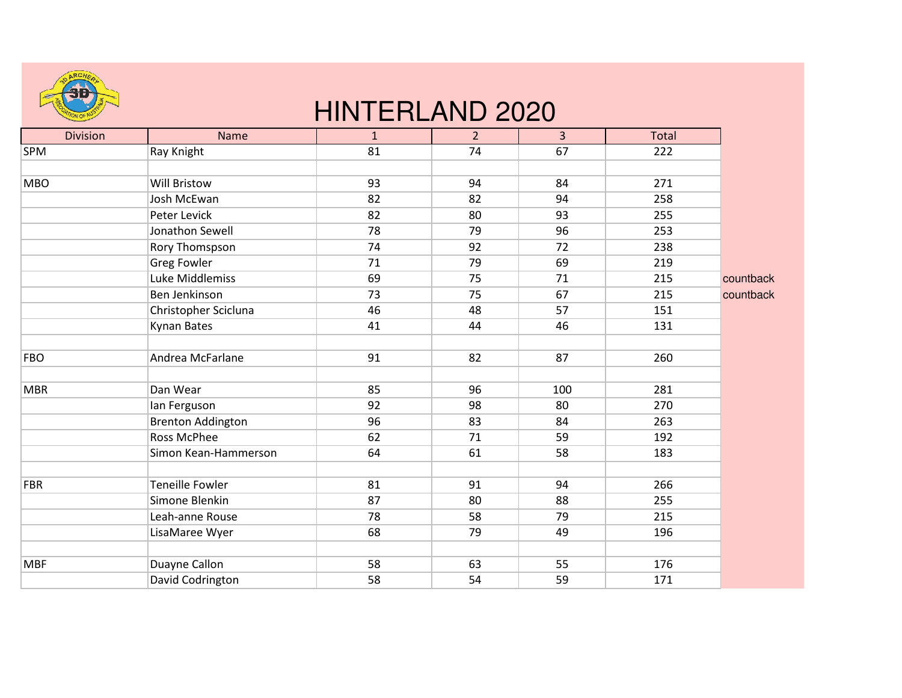

## HINTERLAND 2020

| <b>Division</b> | <b>Name</b>              | $\mathbf{1}$ | 2 <sup>2</sup> | $\overline{3}$ | Total |           |
|-----------------|--------------------------|--------------|----------------|----------------|-------|-----------|
| <b>SPM</b>      | Ray Knight               | 81           | 74             | 67             | 222   |           |
|                 |                          |              |                |                |       |           |
| <b>MBO</b>      | <b>Will Bristow</b>      | 93           | 94             | 84             | 271   |           |
|                 | Josh McEwan              | 82           | 82             | 94             | 258   |           |
|                 | Peter Levick             | 82           | 80             | 93             | 255   |           |
|                 | Jonathon Sewell          | 78           | 79             | 96             | 253   |           |
|                 | Rory Thomspson           | 74           | 92             | 72             | 238   |           |
|                 | <b>Greg Fowler</b>       | 71           | 79             | 69             | 219   |           |
|                 | Luke Middlemiss          | 69           | 75             | 71             | 215   | countback |
|                 | Ben Jenkinson            | 73           | 75             | 67             | 215   | countback |
|                 | Christopher Scicluna     | 46           | 48             | 57             | 151   |           |
|                 | Kynan Bates              | 41           | 44             | 46             | 131   |           |
|                 |                          |              |                |                |       |           |
| <b>FBO</b>      | Andrea McFarlane         | 91           | 82             | 87             | 260   |           |
|                 |                          |              |                |                |       |           |
| <b>MBR</b>      | Dan Wear                 | 85           | 96             | 100            | 281   |           |
|                 | lan Ferguson             | 92           | 98             | 80             | 270   |           |
|                 | <b>Brenton Addington</b> | 96           | 83             | 84             | 263   |           |
|                 | <b>Ross McPhee</b>       | 62           | 71             | 59             | 192   |           |
|                 | Simon Kean-Hammerson     | 64           | 61             | 58             | 183   |           |
|                 |                          |              |                |                |       |           |
| <b>FBR</b>      | Teneille Fowler          | 81           | 91             | 94             | 266   |           |
|                 | Simone Blenkin           | 87           | 80             | 88             | 255   |           |
|                 | Leah-anne Rouse          | 78           | 58             | 79             | 215   |           |
|                 | LisaMaree Wyer           | 68           | 79             | 49             | 196   |           |
|                 |                          |              |                |                |       |           |
| <b>MBF</b>      | Duayne Callon            | 58           | 63             | 55             | 176   |           |
|                 | David Codrington         | 58           | 54             | 59             | 171   |           |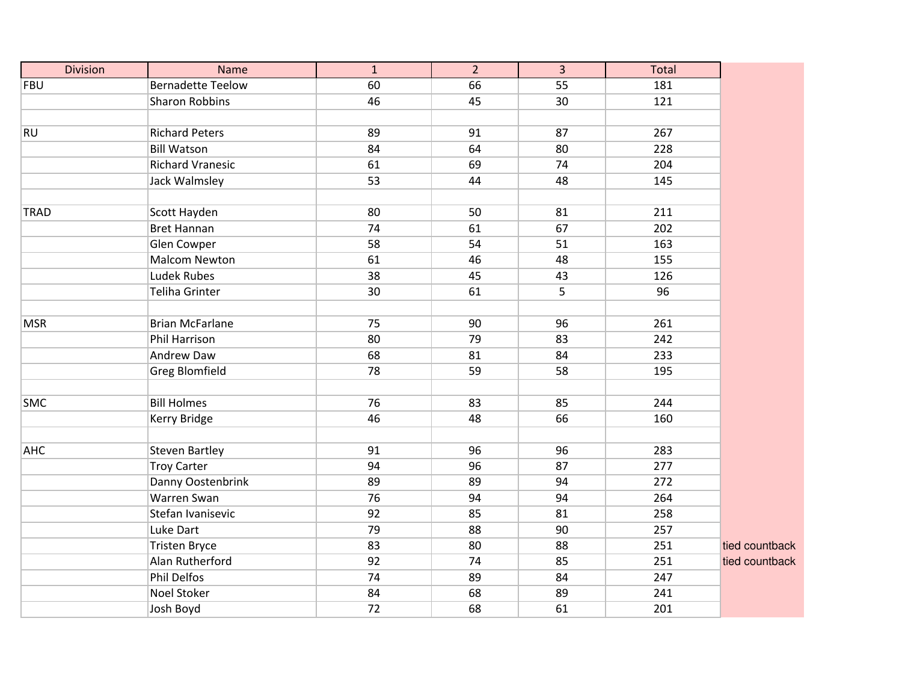| <b>Division</b> | Name                     | $\mathbf{1}$ | $\overline{2}$ | $\overline{3}$ | Total |                |
|-----------------|--------------------------|--------------|----------------|----------------|-------|----------------|
| <b>FBU</b>      | <b>Bernadette Teelow</b> | 60           | 66             | 55             | 181   |                |
|                 | <b>Sharon Robbins</b>    | 46           | 45             | 30             | 121   |                |
|                 |                          |              |                |                |       |                |
| <b>RU</b>       | <b>Richard Peters</b>    | 89           | 91             | 87             | 267   |                |
|                 | <b>Bill Watson</b>       | 84           | 64             | 80             | 228   |                |
|                 | <b>Richard Vranesic</b>  | 61           | 69             | 74             | 204   |                |
|                 | Jack Walmsley            | 53           | 44             | 48             | 145   |                |
|                 |                          |              |                |                |       |                |
| <b>TRAD</b>     | Scott Hayden             | 80           | 50             | 81             | 211   |                |
|                 | <b>Bret Hannan</b>       | 74           | 61             | 67             | 202   |                |
|                 | Glen Cowper              | 58           | 54             | 51             | 163   |                |
|                 | Malcom Newton            | 61           | 46             | 48             | 155   |                |
|                 | <b>Ludek Rubes</b>       | 38           | 45             | 43             | 126   |                |
|                 | <b>Teliha Grinter</b>    | 30           | 61             | 5              | 96    |                |
|                 |                          |              |                |                |       |                |
| <b>MSR</b>      | <b>Brian McFarlane</b>   | 75           | 90             | 96             | 261   |                |
|                 | Phil Harrison            | 80           | 79             | 83             | 242   |                |
|                 | Andrew Daw               | 68           | 81             | 84             | 233   |                |
|                 | <b>Greg Blomfield</b>    | 78           | 59             | 58             | 195   |                |
|                 |                          |              |                |                |       |                |
| <b>SMC</b>      | <b>Bill Holmes</b>       | 76           | 83             | 85             | 244   |                |
|                 | Kerry Bridge             | 46           | 48             | 66             | 160   |                |
|                 |                          |              |                |                |       |                |
| <b>AHC</b>      | <b>Steven Bartley</b>    | 91           | 96             | 96             | 283   |                |
|                 | <b>Troy Carter</b>       | 94           | 96             | 87             | 277   |                |
|                 | Danny Oostenbrink        | 89           | 89             | 94             | 272   |                |
|                 | Warren Swan              | 76           | 94             | 94             | 264   |                |
|                 | Stefan Ivanisevic        | 92           | 85             | 81             | 258   |                |
|                 | Luke Dart                | 79           | 88             | 90             | 257   |                |
|                 | <b>Tristen Bryce</b>     | 83           | 80             | 88             | 251   | tied countback |
|                 | Alan Rutherford          | 92           | 74             | 85             | 251   | tied countback |
|                 | <b>Phil Delfos</b>       | 74           | 89             | 84             | 247   |                |
|                 | <b>Noel Stoker</b>       | 84           | 68             | 89             | 241   |                |
|                 | Josh Boyd                | 72           | 68             | 61             | 201   |                |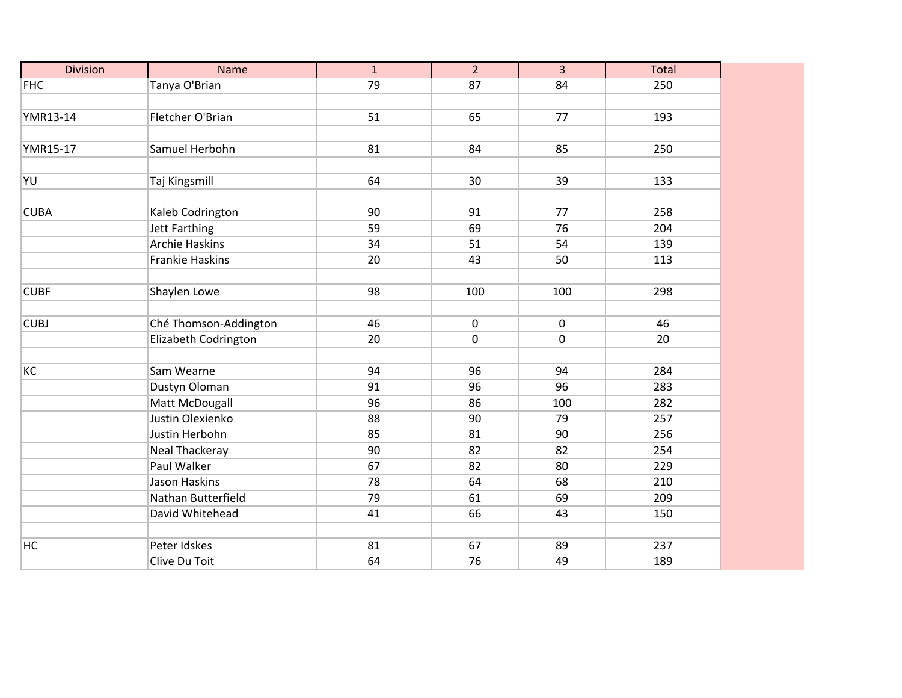| <b>Division</b> | <b>Name</b>            | $\mathbf{1}$    | $\overline{2}$ | $\overline{3}$ | Total |
|-----------------|------------------------|-----------------|----------------|----------------|-------|
| <b>FHC</b>      | Tanya O'Brian          | $\overline{79}$ | 87             | 84             | 250   |
|                 |                        |                 |                |                |       |
| YMR13-14        | Fletcher O'Brian       | 51              | 65             | 77             | 193   |
|                 |                        |                 |                |                |       |
| YMR15-17        | Samuel Herbohn         | 81              | 84             | 85             | 250   |
|                 |                        |                 |                |                |       |
| YU              | Taj Kingsmill          | 64              | 30             | 39             | 133   |
|                 |                        |                 |                |                |       |
| <b>CUBA</b>     | Kaleb Codrington       | 90              | 91             | 77             | 258   |
|                 | Jett Farthing          | 59              | 69             | 76             | 204   |
|                 | <b>Archie Haskins</b>  | 34              | 51             | 54             | 139   |
|                 | <b>Frankie Haskins</b> | 20              | 43             | 50             | 113   |
|                 |                        |                 |                |                |       |
| <b>CUBF</b>     | Shaylen Lowe           | 98              | 100            | 100            | 298   |
|                 |                        |                 |                |                |       |
| <b>CUBJ</b>     | Ché Thomson-Addington  | 46              | $\mathbf 0$    | $\mathbf 0$    | 46    |
|                 | Elizabeth Codrington   | 20              | 0              | $\mathbf 0$    | 20    |
|                 |                        |                 |                |                |       |
| KC              | Sam Wearne             | 94              | 96             | 94             | 284   |
|                 | Dustyn Oloman          | 91              | 96             | 96             | 283   |
|                 | Matt McDougall         | 96              | 86             | 100            | 282   |
|                 | Justin Olexienko       | 88              | 90             | 79             | 257   |
|                 | Justin Herbohn         | 85              | 81             | 90             | 256   |
|                 | Neal Thackeray         | 90              | 82             | 82             | 254   |
|                 | Paul Walker            | 67              | 82             | 80             | 229   |
|                 | Jason Haskins          | 78              | 64             | 68             | 210   |
|                 | Nathan Butterfield     | 79              | 61             | 69             | 209   |
|                 | David Whitehead        | 41              | 66             | 43             | 150   |
|                 |                        |                 |                |                |       |
| HC              | Peter Idskes           | 81              | 67             | 89             | 237   |
|                 | Clive Du Toit          | 64              | 76             | 49             | 189   |